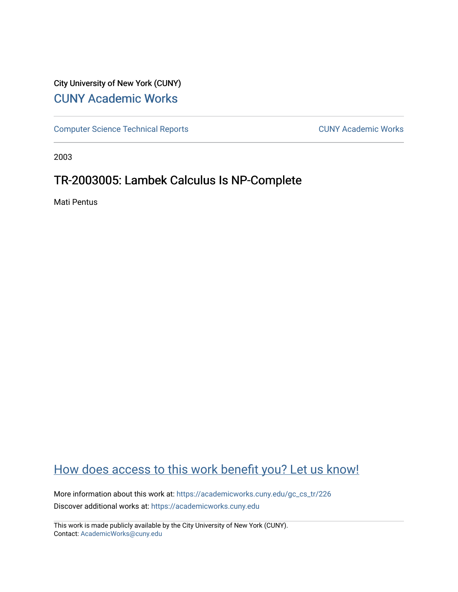## City University of New York (CUNY) [CUNY Academic Works](https://academicworks.cuny.edu/)

[Computer Science Technical Reports](https://academicworks.cuny.edu/gc_cs_tr) **CUNY Academic Works** CUNY Academic Works

2003

# TR-2003005: Lambek Calculus Is NP-Complete

Mati Pentus

# [How does access to this work benefit you? Let us know!](http://ols.cuny.edu/academicworks/?ref=https://academicworks.cuny.edu/gc_cs_tr/226)

More information about this work at: [https://academicworks.cuny.edu/gc\\_cs\\_tr/226](https://academicworks.cuny.edu/gc_cs_tr/226)  Discover additional works at: [https://academicworks.cuny.edu](https://academicworks.cuny.edu/?)

This work is made publicly available by the City University of New York (CUNY). Contact: [AcademicWorks@cuny.edu](mailto:AcademicWorks@cuny.edu)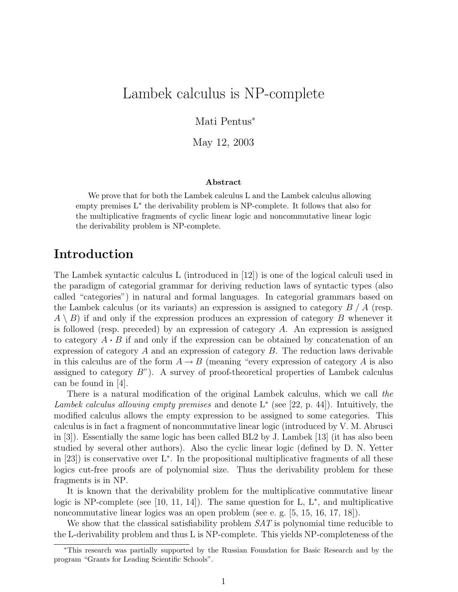# Lambek calculus is NP-complete

Mati Pentus<sup>∗</sup>

May 12, 2003

#### Abstract

We prove that for both the Lambek calculus L and the Lambek calculus allowing empty premises L<sup>\*</sup> the derivability problem is NP-complete. It follows that also for the multiplicative fragments of cyclic linear logic and noncommutative linear logic the derivability problem is NP-complete.

## Introduction

The Lambek syntactic calculus L (introduced in [12]) is one of the logical calculi used in the paradigm of categorial grammar for deriving reduction laws of syntactic types (also called "categories") in natural and formal languages. In categorial grammars based on the Lambek calculus (or its variants) an expression is assigned to category  $B/A$  (resp.  $A \setminus B$ ) if and only if the expression produces an expression of category B whenever it is followed (resp. preceded) by an expression of category  $A$ . An expression is assigned to category  $A \cdot B$  if and only if the expression can be obtained by concatenation of an expression of category  $A$  and an expression of category  $B$ . The reduction laws derivable in this calculus are of the form  $A \to B$  (meaning "every expression of category A is also assigned to category  $B$ "). A survey of proof-theoretical properties of Lambek calculus can be found in [4].

There is a natural modification of the original Lambek calculus, which we call the Lambek calculus allowing empty premises and denote  $L^*$  (see [22, p. 44]). Intuitively, the modified calculus allows the empty expression to be assigned to some categories. This calculus is in fact a fragment of noncommutative linear logic (introduced by V. M. Abrusci in [3]). Essentially the same logic has been called BL2 by J. Lambek [13] (it has also been studied by several other authors). Also the cyclic linear logic (defined by D. N. Yetter in [23]) is conservative over L<sup>∗</sup> . In the propositional multiplicative fragments of all these logics cut-free proofs are of polynomial size. Thus the derivability problem for these fragments is in NP.

It is known that the derivability problem for the multiplicative commutative linear logic is NP-complete (see [10, 11, 14]). The same question for  $L, L^*$ , and multiplicative noncommutative linear logics was an open problem (see e. g. [5, 15, 16, 17, 18]).

We show that the classical satisfiability problem  $SAT$  is polynomial time reducible to the L-derivability problem and thus L is NP-complete. This yields NP-completeness of the

<sup>∗</sup>This research was partially supported by the Russian Foundation for Basic Research and by the program "Grants for Leading Scientific Schools".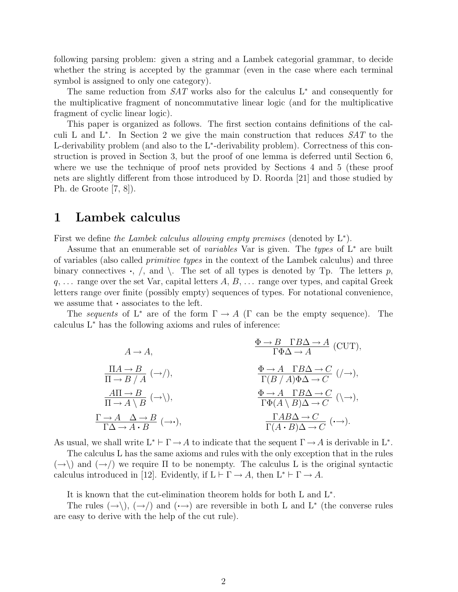following parsing problem: given a string and a Lambek categorial grammar, to decide whether the string is accepted by the grammar (even in the case where each terminal symbol is assigned to only one category).

The same reduction from  $SAT$  works also for the calculus L<sup>∗</sup> and consequently for the multiplicative fragment of noncommutative linear logic (and for the multiplicative fragment of cyclic linear logic).

This paper is organized as follows. The first section contains definitions of the calculi L and L<sup>\*</sup>. In Section 2 we give the main construction that reduces  $SAT$  to the L-derivability problem (and also to the L<sup>\*</sup>-derivability problem). Correctness of this construction is proved in Section 3, but the proof of one lemma is deferred until Section 6, where we use the technique of proof nets provided by Sections 4 and 5 (these proof nets are slightly different from those introduced by D. Roorda [21] and those studied by Ph. de Groote [7, 8]).

#### 1 Lambek calculus

First we define the Lambek calculus allowing empty premises (denoted by  $L^*$ ).

Assume that an enumerable set of *variables* Var is given. The types of  $L^*$  are built of variables (also called primitive types in the context of the Lambek calculus) and three binary connectives  $\cdot$ ,  $\prime$ , and  $\setminus$ . The set of all types is denoted by Tp. The letters p,  $q, \ldots$  range over the set Var, capital letters  $A, B, \ldots$  range over types, and capital Greek letters range over finite (possibly empty) sequences of types. For notational convenience, we assume that · associates to the left.

The sequents of L<sup>\*</sup> are of the form  $\Gamma \to A$  ( $\Gamma$  can be the empty sequence). The calculus L<sup>∗</sup> has the following axioms and rules of inference:

$$
A \to A,
$$
\n
$$
\frac{\Pi A \to B}{\Pi \to B / A} (\to /),
$$
\n
$$
\frac{A\Pi \to B}{\Pi \to A \setminus B} (\to /),
$$
\n
$$
\frac{A \Pi \to B}{\Pi \to A \setminus B} (\to /),
$$
\n
$$
\frac{\Phi \to A \quad \Gamma B \Delta \to C}{\Gamma(B / A) \Phi \Delta \to C} (\to ),
$$
\n
$$
\frac{\Phi \to A \quad \Gamma B \Delta \to C}{\Gamma \Phi(A \setminus B) \Delta \to C} (\to ),
$$
\n
$$
\frac{\Gamma \to A \quad \Delta \to B}{\Gamma(\Delta \to A \cdot B} (\to )),
$$
\n
$$
\frac{\Gamma A B \Delta \to C}{\Gamma(A \cdot B) \Delta \to C} (\to ).
$$

As usual, we shall write  $L^* \vdash \Gamma \to A$  to indicate that the sequent  $\Gamma \to A$  is derivable in  $L^*$ .

The calculus L has the same axioms and rules with the only exception that in the rules  $(\rightarrow)$  and  $(\rightarrow)$  we require  $\Pi$  to be nonempty. The calculus L is the original syntactic calculus introduced in [12]. Evidently, if  $L \vdash \Gamma \to A$ , then  $L^* \vdash \Gamma \to A$ .

It is known that the cut-elimination theorem holds for both L and L<sup>∗</sup> .

The rules  $(\rightarrow), (\rightarrow)$  and  $(\rightarrow)$  are reversible in both L and L<sup>\*</sup> (the converse rules are easy to derive with the help of the cut rule).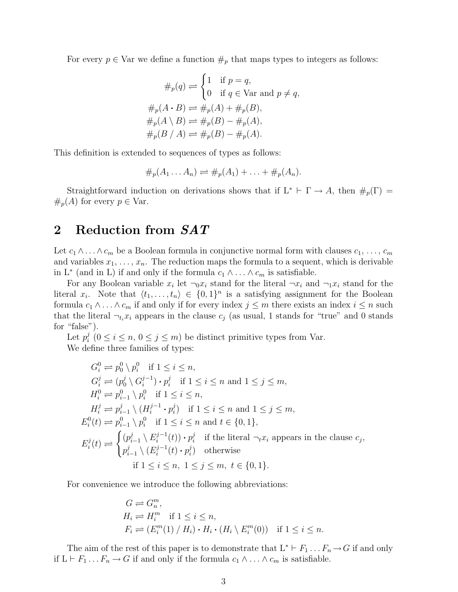For every  $p \in \text{Var}$  we define a function  $\#_p$  that maps types to integers as follows:

$$
\#_p(q) \rightleftharpoons \begin{cases} 1 & \text{if } p = q, \\ 0 & \text{if } q \in \text{Var and } p \neq q, \end{cases}
$$

$$
\#_p(A \cdot B) \rightleftharpoons \#_p(A) + \#_p(B),
$$

$$
\#_p(A \setminus B) \rightleftharpoons \#_p(B) - \#_p(A),
$$

$$
\#_p(B \mid A) \rightleftharpoons \#_p(B) - \#_p(A).
$$

This definition is extended to sequences of types as follows:

$$
\#_p(A_1 \ldots A_n) \rightleftharpoons \#_p(A_1) + \ldots + \#_p(A_n).
$$

Straightforward induction on derivations shows that if  $L^* \vdash \Gamma \rightarrow A$ , then  $\#_p(\Gamma) =$  $#_p(A)$  for every  $p \in \text{Var}.$ 

### 2 Reduction from  $SAT$

Let  $c_1 \wedge \ldots \wedge c_m$  be a Boolean formula in conjunctive normal form with clauses  $c_1, \ldots, c_m$ and variables  $x_1, \ldots, x_n$ . The reduction maps the formula to a sequent, which is derivable in L<sup>\*</sup> (and in L) if and only if the formula  $c_1 \wedge \ldots \wedge c_m$  is satisfiable.

For any Boolean variable  $x_i$  let  $\neg$ <sub>0</sub> $x_i$  stand for the literal  $\neg$ <sub>xi</sub> and  $\neg$ <sub>1</sub> $x_i$  stand for the literal  $x_i$ . Note that  $\langle t_1, \ldots, t_n \rangle \in \{0, 1\}^n$  is a satisfying assignment for the Boolean formula  $c_1 \wedge \ldots \wedge c_m$  if and only if for every index  $j \leq m$  there exists an index  $i \leq n$  such that the literal  $\neg_{t_i} x_i$  appears in the clause  $c_j$  (as usual, 1 stands for "true" and 0 stands for "false").

Let  $p_i^j$  $i_i^j$   $(0 \le i \le n, 0 \le j \le m)$  be distinct primitive types from Var. We define three families of types:

$$
G_i^0 \rightleftharpoons p_0^0 \setminus p_i^0 \quad \text{if } 1 \leq i \leq n,
$$
  
\n
$$
G_i^j \rightleftharpoons (p_0^j \setminus G_i^{j-1}) \cdot p_i^j \quad \text{if } 1 \leq i \leq n \text{ and } 1 \leq j \leq m,
$$
  
\n
$$
H_i^0 \rightleftharpoons p_{i-1}^0 \setminus p_i^0 \quad \text{if } 1 \leq i \leq n,
$$
  
\n
$$
H_i^j \rightleftharpoons p_{i-1}^j \setminus (H_i^{j-1} \cdot p_i^j) \quad \text{if } 1 \leq i \leq n \text{ and } 1 \leq j \leq m,
$$
  
\n
$$
E_i^0(t) \rightleftharpoons p_{i-1}^0 \setminus p_i^0 \quad \text{if } 1 \leq i \leq n \text{ and } t \in \{0, 1\},
$$
  
\n
$$
E_i^j(t) \rightleftharpoons \begin{cases} (p_{i-1}^j \setminus E_i^{j-1}(t)) \cdot p_i^j & \text{if the literal } \neg_t x_i \text{ appears in the clause } c_j, \\ p_{i-1}^j \setminus (E_i^{j-1}(t) \cdot p_i^j) & \text{otherwise} \end{cases}
$$
  
\nif  $1 \leq i \leq n, 1 \leq j \leq m, t \in \{0, 1\}.$ 

For convenience we introduce the following abbreviations:

$$
G \rightleftharpoons G_n^m,
$$
  
\n
$$
H_i \rightleftharpoons H_i^m \text{ if } 1 \le i \le n,
$$
  
\n
$$
F_i \rightleftharpoons (E_i^m(1) / H_i) \cdot H_i \cdot (H_i \setminus E_i^m(0)) \text{ if } 1 \le i \le n.
$$

The aim of the rest of this paper is to demonstrate that  $L^* \vdash F_1 \ldots F_n \to G$  if and only if L  $\vdash$  F<sub>1</sub> . . .  $F_n$  → G if and only if the formula  $c_1 \land \ldots \land c_m$  is satisfiable.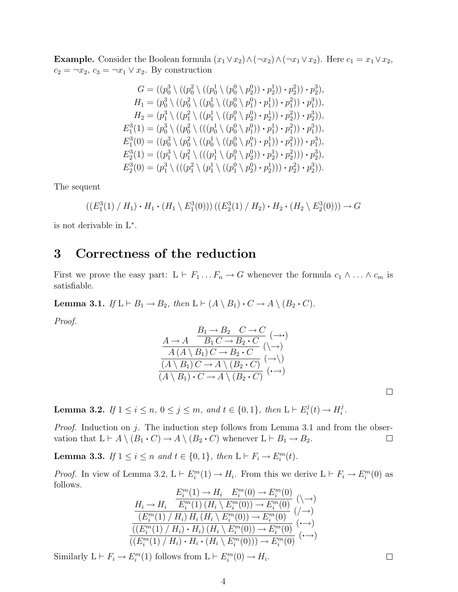Example. Consider the Boolean formula  $(x_1 \vee x_2) \wedge (\neg x_2) \wedge (\neg x_1 \vee x_2)$ . Here  $c_1 = x_1 \vee x_2$ ,  $c_2 = \neg x_2, c_3 = \neg x_1 \lor x_2$ . By construction

$$
G = ((p_0^3 \setminus ((p_0^2 \setminus (p_0^0 \setminus p_2^0)) \cdot p_2^1)) \cdot p_2^2)) \cdot p_2^3),
$$
  
\n
$$
H_1 = (p_0^3 \setminus ((p_0^2 \setminus ((p_0^1 \setminus ((p_0^0 \setminus p_1^0) \cdot p_1^1)) \cdot p_1^2)) \cdot p_1^3)),
$$
  
\n
$$
H_2 = (p_1^3 \setminus ((p_1^2 \setminus ((p_1^1 \setminus (p_1^0 \setminus p_2^0) \cdot p_2^1)) \cdot p_2^2)) \cdot p_2^3)),
$$
  
\n
$$
E_1^3(1) = (p_0^3 \setminus ((p_0^2 \setminus ((p_0^1 \setminus (p_0^0 \setminus p_1^0)) \cdot p_1^1) \cdot p_1^2)) \cdot p_1^3)),
$$
  
\n
$$
E_1^3(0) = ((p_0^3 \setminus (p_0^2 \setminus ((p_0^1 \setminus (p_0^0 \setminus p_1^0) \cdot p_1^1)) \cdot p_1^2))) \cdot p_1^3),
$$
  
\n
$$
E_2^3(1) = ((p_1^3 \setminus (p_1^2 \setminus ((p_1^1 \setminus (p_1^0 \setminus p_2^0)) \cdot p_2^1) \cdot p_2^2))) \cdot p_2^3),
$$
  
\n
$$
E_2^3(0) = (p_1^3 \setminus (((p_1^2 \setminus (p_1^1 \setminus ((p_1^0 \setminus p_2^0) \cdot p_2^1))) \cdot p_2^2) \cdot p_2^3)).
$$

The sequent

$$
((E_1^3(1) / H_1) \cdot H_1 \cdot (H_1 \setminus E_1^3(0)))(E_2^3(1) / H_2) \cdot H_2 \cdot (H_2 \setminus E_2^3(0)) \rightarrow G
$$

is not derivable in L<sup>∗</sup> .

## 3 Correctness of the reduction

First we prove the easy part:  $L \vdash F_1 \dots F_n \to G$  whenever the formula  $c_1 \wedge \dots \wedge c_m$  is satisfiable.

**Lemma 3.1.** If  $L \vdash B_1 \rightarrow B_2$ , then  $L \vdash (A \setminus B_1) \cdot C \rightarrow A \setminus (B_2 \cdot C)$ .

Proof.

$$
\frac{A \to A \quad B_1 \to B_2 \quad C \to C}{A (A \setminus B_1) C \to B_2 \cdot C} (\to)
$$
\n
$$
\frac{(A \setminus B_1) C \to B_2 \cdot C}{(A \setminus B_1) C \to A \setminus (B_2 \cdot C)} (\to)
$$
\n
$$
(A \setminus B_1) \cdot C \to A \setminus (B_2 \cdot C) (\to)
$$

**Lemma 3.2.** If  $1 \le i \le n, 0 \le j \le m$ , and  $t \in \{0, 1\}$ , then  $L \vdash E_i^j$  $i^j(t) \rightarrow H_i^j$  $\frac{j}{i}$  .

*Proof.* Induction on j. The induction step follows from Lemma 3.1 and from the observation that  $L \vdash A \setminus (B_1 \cdot C) \to A \setminus (B_2 \cdot C)$  whenever  $L \vdash B_1 \to B_2$ .  $\Box$ 

**Lemma 3.3.** If  $1 \leq i \leq n$  and  $t \in \{0, 1\}$ , then  $L \vdash F_i \rightarrow E_i^m(t)$ .

*Proof.* In view of Lemma 3.2,  $L \vdash E_i^m(1) \to H_i$ . From this we derive  $L \vdash F_i \to E_i^m(0)$  as follows.

$$
H_i \to H_i \quad \begin{array}{c} E_i^m(1) \to H_i \quad E_i^m(0) \to E_i^m(0) \\ \hline E_i^m(1) \left( H_i \setminus E_i^m(0) \right) \to E_i^m(0) \\ \hline \left( E_i^m(1) \middle/ H_i \right) H_i \left( H_i \setminus E_i^m(0) \right) \to E_i^m(0) \\ \hline \left( \left( E_i^m(1) \middle/ H_i \right) \cdot H_i \right) \left( H_i \setminus E_i^m(0) \right) \to E_i^m(0) \\ \hline \left( \left( E_i^m(1) \middle/ H_i \right) \cdot H_i \cdot \left( H_i \setminus E_i^m(0) \right) \right) \to E_i^m(0) \end{array} \quad (\cdot \to)
$$

Similarly  $L \vdash F_i \to E_i^m(1)$  follows from  $L \vdash E_i^m(0) \to H_i$ .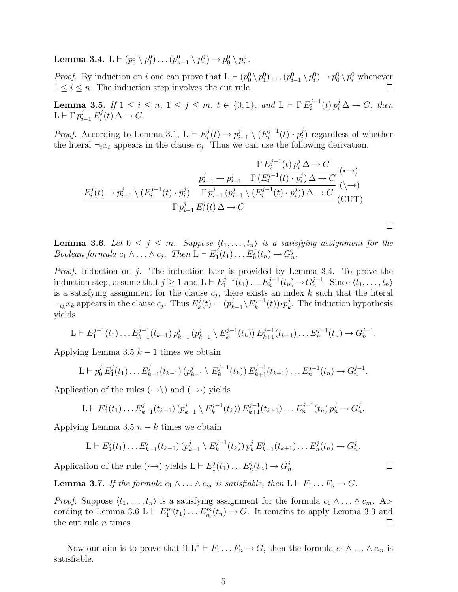Lemma 3.4.  $\mathrm{L}\vdash (p_0^0\setminus p_1^0)\ldots (p_{n-1}^0\setminus p_n^0)\to p_0^0\setminus p_n^0.$ 

*Proof.* By induction on i one can prove that  $L \vdash (p_0^0 \setminus p_1^0) \ldots (p_{i-1}^0 \setminus p_i^0) \rightarrow p_0^0 \setminus p_i^0$  whenever  $1 \leq i \leq n$ . The induction step involves the cut rule.

**Lemma 3.5.** If  $1 \le i \le n, 1 \le j \le m, t \in \{0, 1\}, and L \vdash \Gamma E_i^{j-1}$  $i^{j-1}(t) p_i^j \Delta \rightarrow C$ , then  $\mathcal{L} \vdash \Gamma p_{i-1}^j E_i^j$  $i^{\jmath}(t) \Delta \rightarrow C.$ 

*Proof.* According to Lemma 3.1,  $L \vdash E_i^j$  $p_i^j(t) \rightarrow p_i^j$  $\binom{j}{i-1}\setminus (E_i^{j-1})$  $p_i^{j-1}(t)\boldsymbol{\cdot} p_i^j$  $i$ ) regardless of whether the literal  $\neg_t x_i$  appears in the clause  $c_j$ . Thus we can use the following derivation.

$$
\frac{\Gamma E_i^{j-1}(t) p_i^j \Delta \to C}{E_i^j(t) \to p_{i-1}^j \setminus (E_i^{j-1}(t) \cdot p_i^j) \quad \Gamma p_{i-1}^j \left( p_{i-1}^j \setminus (E_i^{j-1}(t) \cdot p_i^j) \Delta \to C} \right. (\leadsto)
$$
\n
$$
\frac{E_i^j(t) \to p_{i-1}^j \setminus (E_i^{j-1}(t) \cdot p_i^j) \quad \Gamma p_{i-1}^j (p_{i-1}^j \setminus (E_i^{j-1}(t) \cdot p_i^j)) \Delta \to C}{\Gamma p_{i-1}^j E_i^j(t) \Delta \to C} \quad (\text{CUT})
$$

**Lemma 3.6.** Let  $0 \leq j \leq m$ . Suppose  $\langle t_1, \ldots, t_n \rangle$  is a satisfying assignment for the Boolean formula  $c_1 \wedge \ldots \wedge c_j$ . Then  $\overline{L} \vdash E_1^j$  $I_1^j(t_1)\ldots E_n^j(t_n)\rightarrow G_n^j.$ 

*Proof.* Induction on j. The induction base is provided by Lemma 3.4. To prove the induction step, assume that  $j \geq 1$  and  $L \vdash E_1^{j-1}$  $a_1^{j-1}(t_1)\ldots E_n^{j-1}(t_n) \rightarrow G_n^{j-1}$ . Since  $\langle t_1,\ldots,t_n\rangle$ is a satisfying assignment for the clause  $c_j$ , there exists an index k such that the literal  $\neg_t x_k$  appears in the clause  $c_j$ . Thus  $E_k^j$  $p_k^j(t) = (p_k^j)$  $\sum_{k=1}^j \setminus E_k^{j-1}$  $p_k^{j-1}(t))\cdot p_k^j$  $\mu_k^j$ . The induction hypothesis yields

$$
L \vdash E_1^{j-1}(t_1) \dots E_{k-1}^{j-1}(t_{k-1}) p_{k-1}^j (p_{k-1}^j \setminus E_k^{j-1}(t_k)) E_{k+1}^{j-1}(t_{k+1}) \dots E_n^{j-1}(t_n) \to G_n^{j-1}.
$$

Applying Lemma 3.5  $k-1$  times we obtain

$$
L \vdash p_0^j E_1^j(t_1) \ldots E_{k-1}^j(t_{k-1}) (p_{k-1}^j \setminus E_k^{j-1}(t_k)) E_{k+1}^{j-1}(t_{k+1}) \ldots E_n^{j-1}(t_n) \to G_n^{j-1}.
$$

Application of the rules  $(\rightarrow)$  and  $(\rightarrow)$  yields

$$
L \vdash E_1^j(t_1) \dots E_{k-1}^j(t_{k-1}) \left( p_{k-1}^j \setminus E_k^{j-1}(t_k) \right) E_{k+1}^{j-1}(t_{k+1}) \dots E_n^{j-1}(t_n) p_n^j \to G_n^j.
$$

Applying Lemma 3.5  $n - k$  times we obtain

$$
L \vdash E_1^j(t_1) \dots E_{k-1}^j(t_{k-1}) \left( p_{k-1}^j \setminus E_k^{j-1}(t_k) \right) p_k^j E_{k+1}^j(t_{k+1}) \dots E_n^j(t_n) \to G_n^j.
$$

Application of the rule  $(\cdot \rightarrow)$  yields  $L \vdash E_1^j$  $I_1^j(t_1)\ldots E_n^j(t_n)\to G_n^j.$ 

**Lemma 3.7.** If the formula  $c_1 \wedge \ldots \wedge c_m$  is satisfiable, then  $L \vdash F_1 \ldots F_n \rightarrow G$ .

*Proof.* Suppose  $\langle t_1, \ldots, t_n \rangle$  is a satisfying assignment for the formula  $c_1 \wedge \ldots \wedge c_m$ . According to Lemma 3.6 L  $\vdash E_1^m(t_1)\dots E_n^m(t_n) \to G$ . It remains to apply Lemma 3.3 and the cut rule  $n$  times.  $\Box$ 

Now our aim is to prove that if  $L^* \vdash F_1 \ldots F_n \to G$ , then the formula  $c_1 \wedge \ldots \wedge c_m$  is satisfiable.

```
\Box
```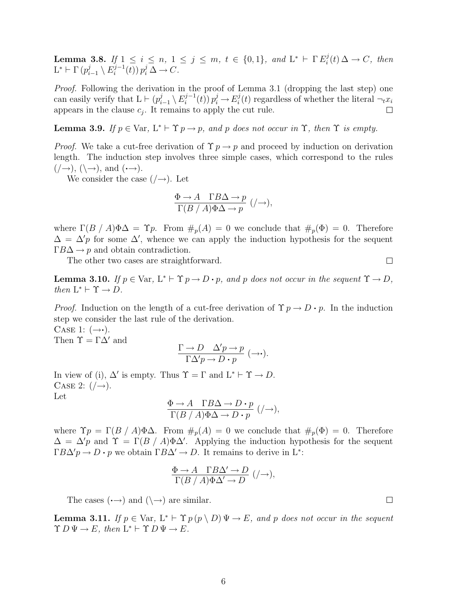**Lemma 3.8.** If  $1 \le i \le n, 1 \le j \le m, t \in \{0,1\}, and L^* \vdash \Gamma E_i^j$  $i^j(t) \Delta \rightarrow C$ , then  $\mathrm{L}^* \vdash \Gamma \, (p_i^j$  $\frac{j}{i-1}\setminus E_i^{j-1}$  $\sum_{i}^{j-1}(t)$   $p_i^j \Delta \rightarrow C$ .

Proof. Following the derivation in the proof of Lemma 3.1 (dropping the last step) one can easily verify that  $L \vdash (p_i^j)$  $\sum_{i=1}^j \setminus E_i^{j-1}$  $i^{j-1}(t)$   $p_i^j \to E_i^j$  $i(t)$  regardless of whether the literal  $\neg_t x_i$ appears in the clause  $c_j$ . It remains to apply the cut rule.  $\Box$ 

**Lemma 3.9.** If  $p \in \text{Var}, L^* \vdash \Upsilon p \rightarrow p$ , and p does not occur in  $\Upsilon$ , then  $\Upsilon$  is empty.

*Proof.* We take a cut-free derivation of  $\Upsilon$   $p \rightarrow p$  and proceed by induction on derivation length. The induction step involves three simple cases, which correspond to the rules  $(\rightarrow), (\rightarrow), \text{and } (\rightarrow).$ 

We consider the case  $(\rightarrow)$ . Let

$$
\frac{\Phi \to A \quad \Gamma B \Delta \to p}{\Gamma(B \, / \, A) \Phi \Delta \to p} \; ( / \to ),
$$

where  $\Gamma(B \mid A) \Phi \Delta = \Upsilon p$ . From  $\#_p(A) = 0$  we conclude that  $\#_p(\Phi) = 0$ . Therefore  $\Delta = \Delta' p$  for some  $\Delta'$ , whence we can apply the induction hypothesis for the sequent  $\Gamma B\Delta \rightarrow p$  and obtain contradiction.

The other two cases are straightforward.

**Lemma 3.10.** If  $p \in \text{Var}, L^* \vdash \Upsilon p \rightarrow D \cdot p$ , and p does not occur in the sequent  $\Upsilon \rightarrow D$ , then  $L^* \vdash \Upsilon \rightarrow D$ .

*Proof.* Induction on the length of a cut-free derivation of  $\Upsilon p \to D \cdot p$ . In the induction step we consider the last rule of the derivation.

CASE 1:  $(\rightarrow \cdot)$ . Then  $\Upsilon = \Gamma \Delta'$  and

$$
\frac{\Gamma \to D \quad \Delta' p \to p}{\Gamma \Delta' p \to D \cdot p} \; (\to \cdot).
$$

In view of (i),  $\Delta'$  is empty. Thus  $\Upsilon = \Gamma$  and  $L^* \vdash \Upsilon \rightarrow D$ . CASE 2:  $(\rightarrow)$ . Let

$$
\frac{\Phi \to A \quad \Gamma B \Delta \to D \cdot p}{\Gamma(B \, / \, A) \Phi \Delta \to D \cdot p} \; ( / \to ),
$$

where  $\Upsilon p = \Gamma(B \mid A) \Phi \Delta$ . From  $\#_p(A) = 0$  we conclude that  $\#_p(\Phi) = 0$ . Therefore  $\Delta = \Delta' p$  and  $\Upsilon = \Gamma(B/A) \Phi \Delta'$ . Applying the induction hypothesis for the sequent  $\Gamma B \Delta' p \to D \cdot p$  we obtain  $\Gamma B \Delta' \to D$ . It remains to derive in L<sup>\*</sup>:

$$
\frac{\Phi \to A \quad \Gamma B \Delta' \to D}{\Gamma(B \ / \ A) \Phi \Delta' \to D} \ ( / \to ),
$$

The cases  $(\rightarrow)$  and  $(\rightarrow)$  are similar.

**Lemma 3.11.** If  $p \in \text{Var}, L^* \vdash \Upsilon p(p \setminus D) \Psi \rightarrow E$ , and p does not occur in the sequent  $\Upsilon D \Psi \to E$ , then  $L^* \vdash \Upsilon D \Psi \to E$ .

 $\Box$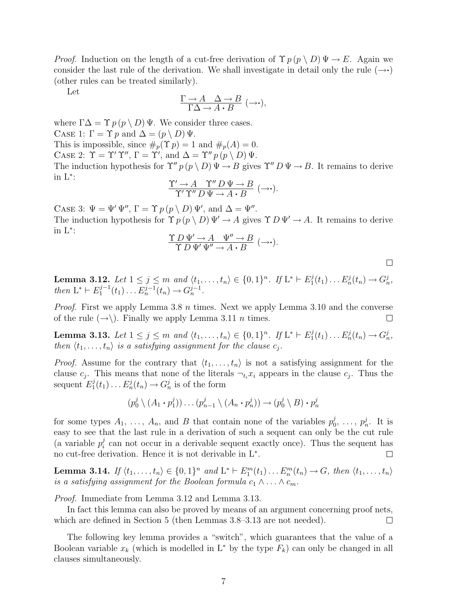*Proof.* Induction on the length of a cut-free derivation of  $\Upsilon p(p \setminus D) \Psi \to E$ . Again we consider the last rule of the derivation. We shall investigate in detail only the rule  $(\rightarrow \cdot)$ (other rules can be treated similarly).

Let

$$
\frac{\Gamma \to A \quad \Delta \to B}{\Gamma \Delta \to A \cdot B} \; (\to \cdot),
$$

where  $\Gamma \Delta = \Upsilon p \, (p \setminus D) \, \Psi$ . We consider three cases. CASE 1:  $\Gamma = \Upsilon p$  and  $\Delta = (p \setminus D) \Psi$ . This is impossible, since  $\#_p(\Upsilon p) = 1$  and  $\#_p(A) = 0$ .

CASE 2:  $\Upsilon = \Upsilon' \Upsilon''$ ,  $\Gamma = \Upsilon'$ , and  $\Delta = \Upsilon'' p(p \setminus D) \Psi$ .

The induction hypothesis for  $\Upsilon'' p(p \setminus D) \Psi \to B$  gives  $\Upsilon'' D \Psi \to B$ . It remains to derive in L<sup>∗</sup> :

$$
\frac{\Upsilon'\to A\quad \Upsilon''\,D\,\Psi\to B}{\Upsilon'\,\Upsilon''\,D\,\Psi\to A\boldsymbol{\cdot} B}\,\,(\to\!\boldsymbol{\cdot}).
$$

CASE 3:  $\Psi = \Psi' \Psi''$ ,  $\Gamma = \Upsilon p(p \setminus D) \Psi'$ , and  $\Delta = \Psi''$ .

The induction hypothesis for  $\Upsilon p(p \setminus D) \Psi' \to A$  gives  $\Upsilon D \Psi' \to A$ . It remains to derive in L<sup>∗</sup> :

$$
\frac{\Upsilon D \Psi' \to A \quad \Psi'' \to B}{\Upsilon D \Psi' \Psi'' \to A \cdot B} \; (\to \cdot).
$$

 $\Box$ 

Lemma 3.12. Let  $1 \le j \le m$  and  $\langle t_1, \ldots, t_n \rangle \in \{0, 1\}^n$ . If  $L^* \vdash E_1^j$  $E_1^j(t_1)\ldots E_n^j(t_n)\to G_n^j,$ then  $L^* \vdash E_1^{j-1}$  $L_1^{j-1}(t_1)\ldots E_n^{j-1}(t_n)\to G_n^{j-1}.$ 

*Proof.* First we apply Lemma 3.8  $n$  times. Next we apply Lemma 3.10 and the converse of the rule  $(\rightarrow)$ . Finally we apply Lemma 3.11 *n* times.  $\Box$ 

Lemma 3.13. Let  $1 \le j \le m$  and  $\langle t_1, \ldots, t_n \rangle \in \{0,1\}^n$ . If  $L^* \vdash E_1^j$  $E_1^j(t_1)\ldots E_n^j(t_n)\to G_n^j,$ then  $\langle t_1, \ldots, t_n \rangle$  is a satisfying assignment for the clause  $c_j$ .

*Proof.* Assume for the contrary that  $\langle t_1, \ldots, t_n \rangle$  is not a satisfying assignment for the clause  $c_j$ . This means that none of the literals  $\neg_{t_i} x_i$  appears in the clause  $c_j$ . Thus the sequent  $E_1^j$  $I_1^j(t_1)\ldots E_n^j(t_n)\longrightarrow G_n^j$  is of the form

$$
(p_0^j \setminus (A_1 \cdot p_1^j)) \dots (p_{n-1}^j \setminus (A_n \cdot p_n^j)) \to (p_0^j \setminus B) \cdot p_n^j
$$

for some types  $A_1, \ldots, A_n$ , and B that contain none of the variables  $p_0^j$  $\stackrel{j}{p}_0^j$ , ...,  $p_n^j$ . It is easy to see that the last rule in a derivation of such a sequent can only be the cut rule (a variable  $p_i^j$  $i<sub>i</sub>$  can not occur in a derivable sequent exactly once). Thus the sequent has no cut-free derivation. Hence it is not derivable in L<sup>∗</sup> .  $\Box$ 

**Lemma 3.14.** If  $\langle t_1, \ldots, t_n \rangle \in \{0, 1\}^n$  and  $L^* \vdash E_1^m(t_1) \ldots E_n^m(t_n) \to G$ , then  $\langle t_1, \ldots, t_n \rangle$ is a satisfying assignment for the Boolean formula  $c_1 \wedge \ldots \wedge c_m$ .

Proof. Immediate from Lemma 3.12 and Lemma 3.13.

In fact this lemma can also be proved by means of an argument concerning proof nets, which are defined in Section 5 (then Lemmas 3.8–3.13 are not needed).  $\Box$ 

The following key lemma provides a "switch", which guarantees that the value of a Boolean variable  $x_k$  (which is modelled in L<sup>\*</sup> by the type  $F_k$ ) can only be changed in all clauses simultaneously.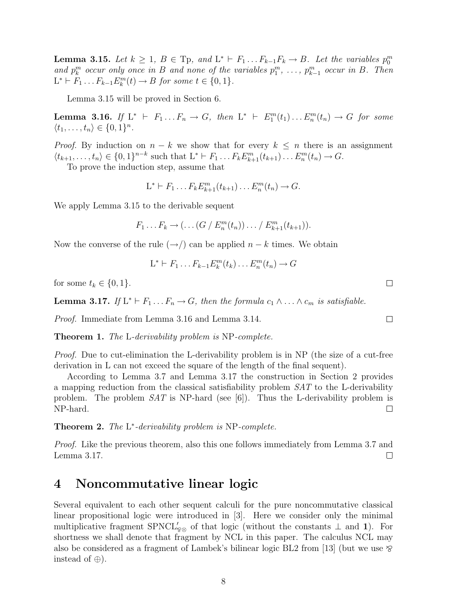**Lemma 3.15.** Let  $k \geq 1$ ,  $B \in \text{Tp}$ , and  $L^* \vdash F_1 \ldots F_{k-1} F_k \to B$ . Let the variables  $p_0^m$ and  $p_k^m$  occur only once in B and none of the variables  $p_1^m, \ldots, p_{k-1}^m$  occur in B. Then  $L^* \vdash F_1 \dots F_{k-1} E_k^m(t) \to B$  for some  $t \in \{0, 1\}.$ 

Lemma 3.15 will be proved in Section 6.

**Lemma 3.16.** If  $L^*$   $\vdash$   $F_1 \ldots F_n \rightarrow G$ , then  $L^*$   $\vdash$   $E_1^m(t_1) \ldots E_n^m(t_n) \rightarrow G$  for some  $\langle t_1, \ldots, t_n \rangle \in \{0, 1\}^n$ .

*Proof.* By induction on  $n - k$  we show that for every  $k \leq n$  there is an assignment  $\langle t_{k+1}, \ldots, t_n \rangle \in \{0, 1\}^{n-k}$  such that  $L^* \vdash F_1 \ldots F_k E_{k+1}^m(t_{k+1}) \ldots E_n^m(t_n) \to G$ .

To prove the induction step, assume that

$$
L^* \vdash F_1 \ldots F_k E_{k+1}^m(t_{k+1}) \ldots E_n^m(t_n) \to G.
$$

We apply Lemma 3.15 to the derivable sequent

$$
F_1 \dots F_k \to (\dots (G / E_n^m(t_n)) \dots / E_{k+1}^m(t_{k+1})).
$$

Now the converse of the rule  $(\rightarrow)$  can be applied  $n - k$  times. We obtain

$$
L^* \vdash F_1 \dots F_{k-1} E_k^m(t_k) \dots E_n^m(t_n) \to G
$$

for some  $t_k \in \{0, 1\}.$ 

**Lemma 3.17.** If  $L^* \vdash F_1 \ldots F_n \to G$ , then the formula  $c_1 \wedge \ldots \wedge c_m$  is satisfiable.

Proof. Immediate from Lemma 3.16 and Lemma 3.14.

Theorem 1. The L-derivability problem is NP-complete.

Proof. Due to cut-elimination the L-derivability problem is in NP (the size of a cut-free derivation in L can not exceed the square of the length of the final sequent).

According to Lemma 3.7 and Lemma 3.17 the construction in Section 2 provides a mapping reduction from the classical satisfiability problem SAT to the L-derivability problem. The problem SAT is NP-hard (see [6]). Thus the L-derivability problem is NP-hard.  $\Box$ 

**Theorem 2.** The  $L^*$ -derivability problem is NP-complete.

Proof. Like the previous theorem, also this one follows immediately from Lemma 3.7 and Lemma 3.17.  $\Box$ 

#### 4 Noncommutative linear logic

Several equivalent to each other sequent calculi for the pure noncommutative classical linear propositional logic were introduced in [3]. Here we consider only the minimal multiplicative fragment  $SPNCL'_{\otimes}$  of that logic (without the constants  $\perp$  and 1). For shortness we shall denote that fragment by NCL in this paper. The calculus NCL may also be considered as a fragment of Lambek's bilinear logic BL2 from [13] (but we use  $\otimes$ instead of  $\oplus$ ).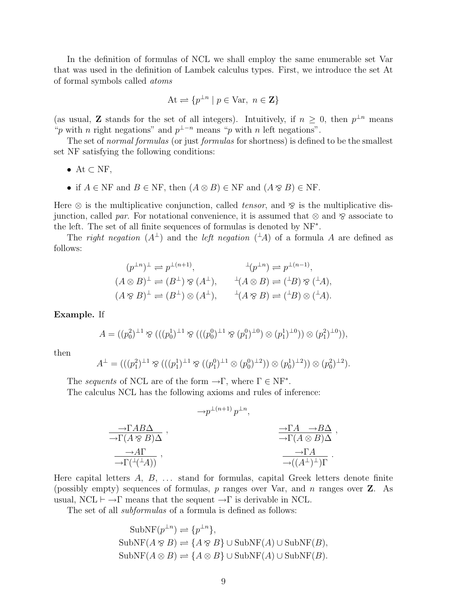In the definition of formulas of NCL we shall employ the same enumerable set Var that was used in the definition of Lambek calculus types. First, we introduce the set At of formal symbols called atoms

$$
At \rightleftharpoons \{p^{\perp n} \mid p \in Var, \ n \in \mathbf{Z}\}
$$

(as usual, **Z** stands for the set of all integers). Intuitively, if  $n \geq 0$ , then  $p^{\perp n}$  means "p with n right negations" and  $p^{\perp - n}$  means "p with n left negations".

The set of normal formulas (or just formulas for shortness) is defined to be the smallest set NF satisfying the following conditions:

- At  $\subset$  NF,
- if  $A \in \text{NF}$  and  $B \in \text{NF}$ , then  $(A \otimes B) \in \text{NF}$  and  $(A \otimes B) \in \text{NF}$ .

Here  $\otimes$  is the multiplicative conjunction, called *tensor*, and  $\otimes$  is the multiplicative disjunction, called par. For notational convenience, it is assumed that  $\otimes$  and  $\otimes$  associate to the left. The set of all finite sequences of formulas is denoted by NF<sup>∗</sup> .

The right negation  $(A^{\perp})$  and the left negation  $({}^{\perp}A)$  of a formula A are defined as follows:

$$
(p^{\perp n})^{\perp} \rightleftharpoons p^{\perp(n+1)}, \qquad \qquad ^{\perp}(p^{\perp n}) \rightleftharpoons p^{\perp(n-1)},
$$
  

$$
(A \otimes B)^{\perp} \rightleftharpoons (B^{\perp}) \otimes (A^{\perp}), \qquad ^{\perp}(A \otimes B) \rightleftharpoons (^{\perp}B) \otimes (^{\perp}A),
$$
  

$$
(A \otimes B)^{\perp} \rightleftharpoons (B^{\perp}) \otimes (A^{\perp}), \qquad ^{\perp}(A \otimes B) \rightleftharpoons (^{\perp}B) \otimes (^{\perp}A).
$$

Example. If

$$
A = ((p_0^2)^{\perp 1} \otimes (((p_0^1)^{\perp 1} \otimes (((p_0^0)^{\perp 1} \otimes (p_1^0)^{\perp 0}) \otimes (p_1^1)^{\perp 0})) \otimes (p_1^2)^{\perp 0})),
$$

then

$$
A^{\perp} = (((p_1^2)^{\perp 1} \otimes (((p_1^1)^{\perp 1} \otimes ((p_1^0)^{\perp 1} \otimes (p_0^0)^{\perp 2})) \otimes (p_0^1)^{\perp 2})) \otimes (p_0^2)^{\perp 2}).
$$

The sequents of NCL are of the form  $\rightarrow \Gamma$ , where  $\Gamma \in NF^*$ .

The calculus NCL has the following axioms and rules of inference:

$$
\rightarrow P^{\perp(n+1)} p^{\perp n},
$$
  
\n
$$
\rightarrow \Gamma(A \otimes B) \Delta ,
$$
  
\n
$$
\rightarrow \Gamma(A \otimes B) \Delta ,
$$
  
\n
$$
\rightarrow \Gamma(\perp(\perp A)) ,
$$
  
\n
$$
\rightarrow \Gamma(\perp(\perp A)) ,
$$
  
\n
$$
\rightarrow \Gamma(A \otimes B) \Delta ,
$$
  
\n
$$
\rightarrow \Gamma(A \otimes B) \Delta .
$$
  
\n
$$
\rightarrow \Gamma(A \otimes B) \Delta .
$$

Here capital letters  $A, B, \ldots$  stand for formulas, capital Greek letters denote finite (possibly empty) sequences of formulas,  $p$  ranges over Var, and  $n$  ranges over  $\mathbf{Z}$ . As usual,  $NCL \vdash \rightarrow \Gamma$  means that the sequent  $\rightarrow \Gamma$  is derivable in NCL.

The set of all *subformulas* of a formula is defined as follows:

SubNF
$$
(p^{\perp n}) \rightleftharpoons {p^{\perp n}}
$$
,  
\nSubNF $(A \otimes B) \rightleftharpoons {A \otimes B} \cup \text{SubNF}(A) \cup \text{SubNF}(B)$ ,  
\nSubNF $(A \otimes B) \rightleftharpoons {A \otimes B} \cup \text{SubNF}(A) \cup \text{SubNF}(B)$ .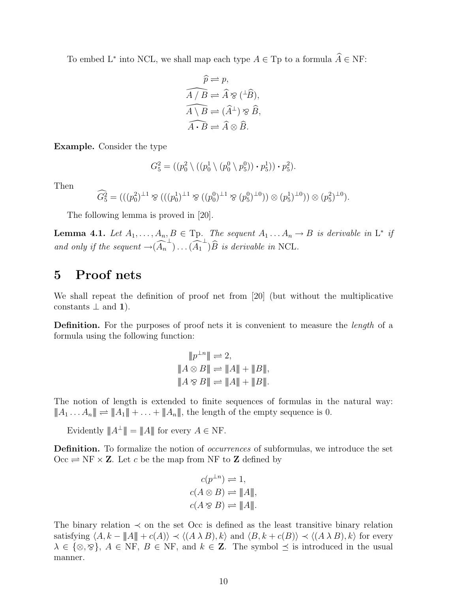To embed L<sup>\*</sup> into NCL, we shall map each type  $A \in \text{Tp}$  to a formula  $\widehat{A} \in \text{NF}$ :

$$
\widehat{p} \rightleftharpoons p,
$$
  
\n
$$
\widehat{A/B} \rightleftharpoons \widehat{A} \otimes (\stackrel{\perp}{B}),
$$
  
\n
$$
\widehat{A \setminus B} \rightleftharpoons (\widehat{A}^{\perp}) \otimes \widehat{B},
$$
  
\n
$$
\widehat{A \cdot B} \rightleftharpoons \widehat{A} \otimes \widehat{B}.
$$

Example. Consider the type

$$
G_5^2 = ((p_0^2 \setminus ((p_0^1 \setminus (p_0^0 \setminus p_5^0)) \cdot p_5^1)) \cdot p_5^2).
$$

Then

$$
\widehat{G_5^2} = (((p_0^2)^{\perp 1} \otimes (((p_0^1)^{\perp 1} \otimes ((p_0^0)^{\perp 1} \otimes (p_5^0)^{\perp 0})) \otimes (p_5^1)^{\perp 0})) \otimes (p_5^2)^{\perp 0}).
$$

The following lemma is proved in [20].

**Lemma 4.1.** Let  $A_1, \ldots, A_n, B \in \text{Tp.}$  The sequent  $A_1 \ldots A_n \to B$  is derivable in  $L^*$  if and only if the sequent  $\rightarrow (\widehat{A_n}^{\perp}) \dots (\widehat{A_1}^{\perp}) \widehat{B}$  is derivable in NCL.

## 5 Proof nets

We shall repeat the definition of proof net from [20] (but without the multiplicative constants  $\perp$  and 1).

Definition. For the purposes of proof nets it is convenient to measure the *length* of a formula using the following function:

$$
\begin{aligned}\n\|p^{\perp n}\| &\rightleftharpoons 2, \\
\|A \otimes B\| &\rightleftharpoons \|A\| + \|B\|, \\
\|A \otimes B\| &\rightleftharpoons \|A\| + \|B\|. \n\end{aligned}
$$

The notion of length is extended to finite sequences of formulas in the natural way:  $||A_1 ... A_n|| \rightleftharpoons ||A_1|| + ... + ||A_n||$ , the length of the empty sequence is 0.

Evidently  $||A^{\perp}|| = ||A||$  for every  $A \in \text{NF}$ .

**Definition.** To formalize the notion of *occurrences* of subformulas, we introduce the set  $Occ \rightleftharpoons NF \times \mathbb{Z}$ . Let c be the map from NF to Z defined by

$$
c(p^{\perp n}) \rightleftharpoons 1,
$$
  
\n
$$
c(A \otimes B) \rightleftharpoons \|A\|,
$$
  
\n
$$
c(A \otimes B) \rightleftharpoons \|A\|.
$$

The binary relation  $\prec$  on the set Occ is defined as the least transitive binary relation satisfying  $\langle A, k - ||A|| + c(A) \rangle \prec \langle (A \lambda B), k \rangle$  and  $\langle B, k + c(B) \rangle \prec \langle (A \lambda B), k \rangle$  for every  $\lambda \in \{\infty, \infty\}, A \in \text{NF}, B \in \text{NF}, \text{ and } k \in \mathbb{Z}$ . The symbol  $\preceq$  is introduced in the usual manner.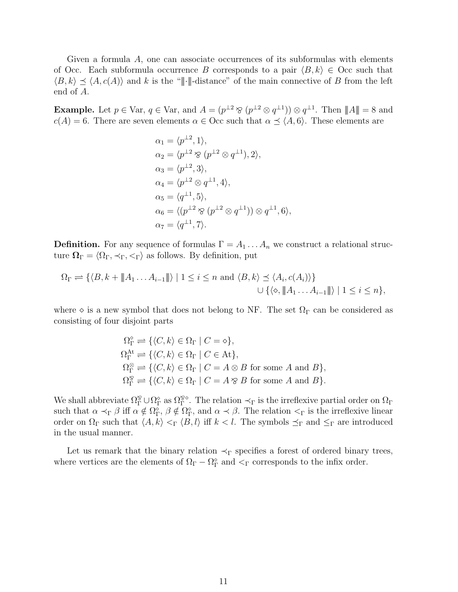Given a formula A, one can associate occurrences of its subformulas with elements of Occ. Each subformula occurrence B corresponds to a pair  $\langle B, k \rangle \in$  Occ such that  $\langle B, k \rangle \prec \langle A, c(A) \rangle$  and k is the "|||-distance" of the main connective of B from the left end of A.

**Example.** Let  $p \in \text{Var}, q \in \text{Var}, \text{ and } A = (p^{\perp 2} \otimes (p^{\perp 2} \otimes q^{\perp 1})) \otimes q^{\perp 1}$ . Then  $||A|| = 8$  and  $c(A) = 6$ . There are seven elements  $\alpha \in \text{Occ}$  such that  $\alpha \preceq \langle A, 6 \rangle$ . These elements are

$$
\alpha_1 = \langle p^{\perp 2}, 1 \rangle,
$$
  
\n
$$
\alpha_2 = \langle p^{\perp 2} \otimes (p^{\perp 2} \otimes q^{\perp 1}), 2 \rangle,
$$
  
\n
$$
\alpha_3 = \langle p^{\perp 2}, 3 \rangle,
$$
  
\n
$$
\alpha_4 = \langle p^{\perp 2} \otimes q^{\perp 1}, 4 \rangle,
$$
  
\n
$$
\alpha_5 = \langle q^{\perp 1}, 5 \rangle,
$$
  
\n
$$
\alpha_6 = \langle (p^{\perp 2} \otimes (p^{\perp 2} \otimes q^{\perp 1})) \otimes q^{\perp 1}, 6 \rangle,
$$
  
\n
$$
\alpha_7 = \langle q^{\perp 1}, 7 \rangle.
$$

**Definition.** For any sequence of formulas  $\Gamma = A_1 \dots A_n$  we construct a relational structure  $\Omega_{\Gamma} = \langle \Omega_{\Gamma}, \prec_{\Gamma}, \prec_{\Gamma} \rangle$  as follows. By definition, put

$$
\Omega_{\Gamma} \rightleftharpoons \{ \langle B, k + \|\!| A_1 \dots A_{i-1} \|\!| \rangle \mid 1 \leq i \leq n \text{ and } \langle B, k \rangle \leq \langle A_i, c(A_i) \rangle \}
$$
  

$$
\cup \{ \langle \diamond, \|\!| A_1 \dots A_{i-1} \|\!| \rangle \mid 1 \leq i \leq n \},
$$

where  $\diamond$  is a new symbol that does not belong to NF. The set  $\Omega_{\Gamma}$  can be considered as consisting of four disjoint parts

$$
\Omega_{\Gamma}^{\diamond} \rightleftharpoons \{ \langle C, k \rangle \in \Omega_{\Gamma} \mid C = \diamond \},
$$
  
\n
$$
\Omega_{\Gamma}^{\mathcal{A}t} \rightleftharpoons \{ \langle C, k \rangle \in \Omega_{\Gamma} \mid C \in \text{At} \},
$$
  
\n
$$
\Omega_{\Gamma}^{\otimes} \rightleftharpoons \{ \langle C, k \rangle \in \Omega_{\Gamma} \mid C = A \otimes B \text{ for some } A \text{ and } B \},
$$
  
\n
$$
\Omega_{\Gamma}^{\otimes} \rightleftharpoons \{ \langle C, k \rangle \in \Omega_{\Gamma} \mid C = A \otimes B \text{ for some } A \text{ and } B \}.
$$

We shall abbreviate  $\Omega_{\Gamma}^{\otimes} \cup \Omega_{\Gamma}^{\circ}$  as  $\Omega_{\Gamma}^{\otimes\diamond}$ . The relation  $\prec_{\Gamma}$  is the irreflexive partial order on  $\Omega_{\Gamma}$ such that  $\alpha \prec_{\Gamma} \beta$  iff  $\alpha \notin \Omega_{\Gamma}^{\circ}$ ,  $\beta \notin \Omega_{\Gamma}^{\circ}$ , and  $\alpha \prec \beta$ . The relation  $\lt_{\Gamma}$  is the irreflexive linear order on  $\Omega_{\Gamma}$  such that  $\langle A, k \rangle \langle \Gamma \langle B, l \rangle$  iff  $k < l$ . The symbols  $\preceq_{\Gamma}$  and  $\leq_{\Gamma}$  are introduced in the usual manner.

Let us remark that the binary relation  $\prec_{\Gamma}$  specifies a forest of ordered binary trees, where vertices are the elements of  $\Omega_{\Gamma} - \Omega_{\Gamma}^{\diamond}$  and  $\lt_{\Gamma}$  corresponds to the infix order.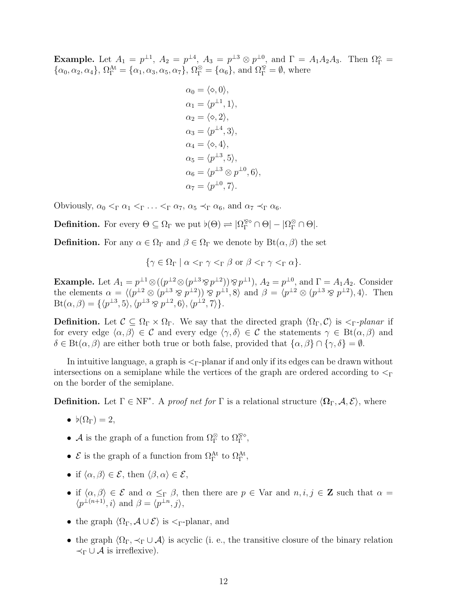**Example.** Let  $A_1 = p^{\perp 1}$ ,  $A_2 = p^{\perp 4}$ ,  $A_3 = p^{\perp 3} \otimes p^{\perp 0}$ , and  $\Gamma = A_1 A_2 A_3$ . Then  $\Omega_{\Gamma}^{\circ} =$  $\{\alpha_0, \alpha_2, \alpha_4\}, \Omega_{\Gamma}^{\text{At}} = \{\alpha_1, \alpha_3, \alpha_5, \alpha_7\}, \Omega_{\Gamma}^{\otimes} = \{\alpha_6\}, \text{ and } \Omega_{\Gamma}^{\otimes} = \emptyset, \text{ where }$ 

$$
\alpha_0 = \langle \diamond, 0 \rangle,
$$
  
\n
$$
\alpha_1 = \langle p^{\perp 1}, 1 \rangle,
$$
  
\n
$$
\alpha_2 = \langle \diamond, 2 \rangle,
$$
  
\n
$$
\alpha_3 = \langle p^{\perp 4}, 3 \rangle,
$$
  
\n
$$
\alpha_4 = \langle \diamond, 4 \rangle,
$$
  
\n
$$
\alpha_5 = \langle p^{\perp 3}, 5 \rangle,
$$
  
\n
$$
\alpha_6 = \langle p^{\perp 3} \otimes p^{\perp 0}, 6 \rangle,
$$
  
\n
$$
\alpha_7 = \langle p^{\perp 0}, 7 \rangle.
$$

Obviously,  $\alpha_0 <_{\Gamma} \alpha_1 <_{\Gamma} \ldots <_{\Gamma} \alpha_7$ ,  $\alpha_5 <_{\Gamma} \alpha_6$ , and  $\alpha_7 <_{\Gamma} \alpha_6$ .

**Definition.** For every  $\Theta \subseteq \Omega_{\Gamma}$  we put  $\flat(\Theta) \rightleftharpoons |\Omega_{\Gamma}^{\otimes \circ} \cap \Theta| - |\Omega_{\Gamma}^{\otimes} \cap \Theta|$ .

**Definition.** For any  $\alpha \in \Omega_{\Gamma}$  and  $\beta \in \Omega_{\Gamma}$  we denote by  $\text{Bt}(\alpha, \beta)$  the set

$$
\{\gamma \in \Omega_{\Gamma} \mid \alpha <_{\Gamma} \gamma <_{\Gamma} \beta \text{ or } \beta <_{\Gamma} \gamma <_{\Gamma} \alpha\}.
$$

**Example.** Let  $A_1 = p^{\perp 1} \otimes ((p^{\perp 2} \otimes (p^{\perp 3} \otimes p^{\perp 2})) \otimes p^{\perp 1}), A_2 = p^{\perp 0}$ , and  $\Gamma = A_1 A_2$ . Consider the elements  $\alpha = \langle (p^{\perp 2} \otimes (p^{\perp 3} \otimes p^{\perp 2})) \otimes p^{\perp 1}, 8 \rangle$  and  $\beta = \langle p^{\perp 2} \otimes (p^{\perp 3} \otimes p^{\perp 2}), 4 \rangle$ . Then  $\text{Bt}(\alpha, \beta) = \{ \langle p^{\perp 3}, 5 \rangle, \langle p^{\perp 3} \otimes p^{\perp 2}, 6 \rangle, \langle p^{\perp 2}, 7 \rangle \}.$ 

**Definition.** Let  $\mathcal{C} \subseteq \Omega_{\Gamma} \times \Omega_{\Gamma}$ . We say that the directed graph  $\langle \Omega_{\Gamma}, \mathcal{C} \rangle$  is  $\langle \nabla_{\Gamma} \cdot \mathcal{C} \rangle$ for every edge  $\langle \alpha, \beta \rangle \in \mathcal{C}$  and every edge  $\langle \gamma, \delta \rangle \in \mathcal{C}$  the statements  $\gamma \in \text{Bt}(\alpha, \beta)$  and  $\delta \in \text{Bt}(\alpha, \beta)$  are either both true or both false, provided that  $\{\alpha, \beta\} \cap \{\gamma, \delta\} = \emptyset$ .

In intuitive language, a graph is  $\leq_{\Gamma}$ -planar if and only if its edges can be drawn without intersections on a semiplane while the vertices of the graph are ordered according to  $\leq_\Gamma$ on the border of the semiplane.

**Definition.** Let  $\Gamma \in NF^*$ . A proof net for  $\Gamma$  is a relational structure  $\langle \Omega_{\Gamma}, A, \mathcal{E} \rangle$ , where

- $b(\Omega_{\Gamma}) = 2$ ,
- A is the graph of a function from  $\Omega_{\Gamma}^{\otimes}$  to  $\Omega_{\Gamma}^{\otimes\diamond}$ ,
- $\mathcal{E}$  is the graph of a function from  $\Omega_{\Gamma}^{\text{At}}$  to  $\Omega_{\Gamma}^{\text{At}}$ ,
- if  $\langle \alpha, \beta \rangle \in \mathcal{E}$ , then  $\langle \beta, \alpha \rangle \in \mathcal{E}$ ,
- if  $\langle \alpha, \beta \rangle \in \mathcal{E}$  and  $\alpha \leq_{\Gamma} \beta$ , then there are  $p \in \text{Var}$  and  $n, i, j \in \mathbb{Z}$  such that  $\alpha =$  $\langle p^{\perp (n+1)}, i \rangle$  and  $\beta = \langle p^{\perp n}, j \rangle$ ,
- the graph  $\langle \Omega_{\Gamma}, \mathcal{A} \cup \mathcal{E} \rangle$  is  $\langle \nabla_{\Gamma}$ -planar, and
- the graph  $\langle \Omega_{\Gamma}, \prec_{\Gamma} \cup \mathcal{A} \rangle$  is acyclic (i. e., the transitive closure of the binary relation  $\prec_{\Gamma} \cup A$  is irreflexive).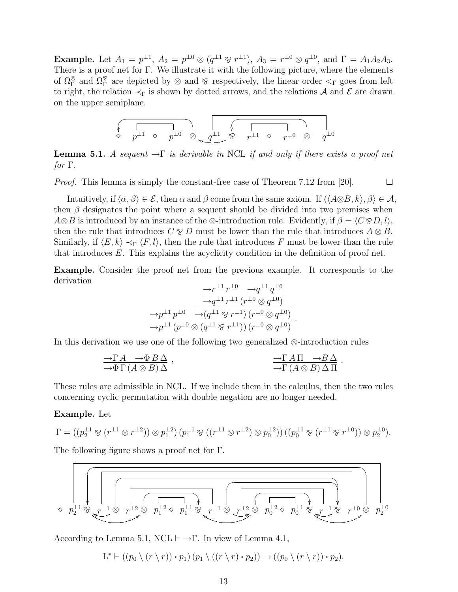**Example.** Let  $A_1 = p^{\perp 1}$ ,  $A_2 = p^{\perp 0} \otimes (q^{\perp 1} \otimes r^{\perp 1})$ ,  $A_3 = r^{\perp 0} \otimes q^{\perp 0}$ , and  $\Gamma = A_1 A_2 A_3$ . There is a proof net for Γ. We illustrate it with the following picture, where the elements of  $\Omega_{\Gamma}^{\otimes}$  and  $\Omega_{\Gamma}^{\otimes}$  are depicted by  $\otimes$  and  $\otimes$  respectively, the linear order  $\lt_{\Gamma}$  goes from left to right, the relation  $\prec_{\Gamma}$  is shown by dotted arrows, and the relations A and E are drawn on the upper semiplane.

$$
\begin{array}{ccccc} \begin{matrix} & & & \\ \sqrt{\phantom{0} & & \\ & p^{\perp 1} & \diamond & p^{\perp 0} \end{matrix}} & \begin{matrix} & \begin{matrix} & & & \\ \sqrt{\phantom{0} & & \\ & q^{\perp 1} & \diamond & p^{\perp 1} \end{matrix}} & \begin{matrix} & \end{matrix} & \begin{matrix} & & & \\ & \sqrt{\phantom{0} & & \\ & & p^{\perp 1} & \diamond & p^{\perp 0} \end{matrix}} & \begin{matrix} & \end{matrix} & \begin{matrix} & & & \\ & \sqrt{\phantom{0} & & \\ & & q^{\perp 0} & \diamond & q^{\perp 0} \end{matrix}} \end{array}
$$

**Lemma 5.1.** A sequent  $\neg \Gamma$  is derivable in NCL if and only if there exists a proof net  $for \Gamma$ .

 $\Box$ Proof. This lemma is simply the constant-free case of Theorem 7.12 from [20].

Intuitively, if  $\langle \alpha, \beta \rangle \in \mathcal{E}$ , then  $\alpha$  and  $\beta$  come from the same axiom. If  $\langle \langle A\otimes B, k \rangle, \beta \rangle \in \mathcal{A}$ , then  $\beta$  designates the point where a sequent should be divided into two premises when  $A\otimes B$  is introduced by an instance of the  $\otimes$ -introduction rule. Evidently, if  $\beta = \langle C\otimes D, l \rangle$ , then the rule that introduces  $C \otimes D$  must be lower than the rule that introduces  $A \otimes B$ . Similarly, if  $\langle E, k \rangle \prec_{\Gamma} \langle F, l \rangle$ , then the rule that introduces F must be lower than the rule that introduces E. This explains the acyclicity condition in the definition of proof net.

Example. Consider the proof net from the previous example. It corresponds to the derivation

$$
\frac{\frac{\longrightarrow r^{\perp 1} r^{\perp 0} \longrightarrow q^{\perp 1} q^{\perp 0}}{\longrightarrow q^{\perp 1} r^{\perp 1} (r^{\perp 0} \otimes q^{\perp 0})}}{\frac{\longrightarrow p^{\perp 1} p^{\perp 0} \longrightarrow (q^{\perp 1} \otimes r^{\perp 1}) (r^{\perp 0} \otimes q^{\perp 0})}{\longrightarrow p^{\perp 1} (p^{\perp 0} \otimes (q^{\perp 1} \otimes r^{\perp 1})) (r^{\perp 0} \otimes q^{\perp 0})}
$$

.

In this derivation we use one of the following two generalized ⊗-introduction rules

$$
\frac{\neg \Gamma A \quad \neg \Phi B \Delta}{\neg \Phi \Gamma (A \otimes B) \Delta} ,\qquad \frac{\neg \Gamma A \Pi \quad \neg B \Delta}{\neg \Gamma (A \otimes B) \Delta \Pi} .
$$

These rules are admissible in NCL. If we include them in the calculus, then the two rules concerning cyclic permutation with double negation are no longer needed.

#### Example. Let

$$
\Gamma = ((p_2^{\perp 1} \otimes (r^{\perp 1} \otimes r^{\perp 2})) \otimes p_1^{\perp 2}) (p_1^{\perp 1} \otimes ((r^{\perp 1} \otimes r^{\perp 2}) \otimes p_0^{\perp 2})) ((p_0^{\perp 1} \otimes (r^{\perp 1} \otimes r^{\perp 0})) \otimes p_2^{\perp 0}).
$$

The following figure shows a proof net for Γ.



According to Lemma 5.1,  $NCL \vdash \rightarrow \Gamma$ . In view of Lemma 4.1,

$$
L^* \vdash ((p_0 \setminus (r \setminus r)) \cdot p_1) (p_1 \setminus ((r \setminus r) \cdot p_2)) \rightarrow ((p_0 \setminus (r \setminus r)) \cdot p_2).
$$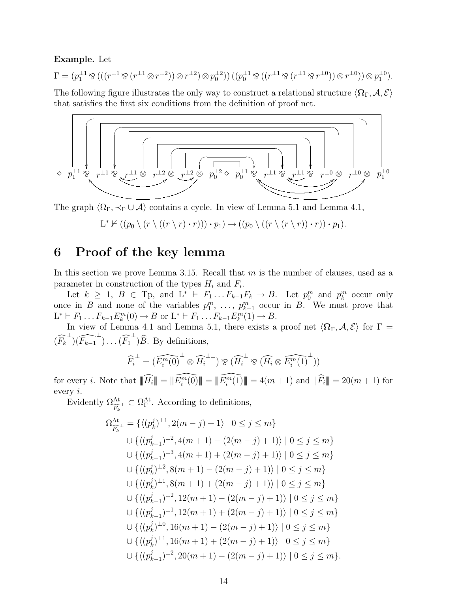#### Example. Let

$$
\Gamma = (p_1^{\perp 1} \otimes (((r^{\perp 1} \otimes (r^{\perp 1} \otimes r^{\perp 2})) \otimes r^{\perp 2}) \otimes p_0^{\perp 2})) ((p_0^{\perp 1} \otimes ((r^{\perp 1} \otimes (r^{\perp 1} \otimes r^{\perp 0})) \otimes r^{\perp 0})) \otimes p_1^{\perp 0}).
$$

The following figure illustrates the only way to construct a relational structure  $\langle \Omega_{\Gamma}, \mathcal{A}, \mathcal{E} \rangle$ that satisfies the first six conditions from the definition of proof net.



The graph  $\langle \Omega_{\Gamma}, \prec_{\Gamma} \cup \mathcal{A} \rangle$  contains a cycle. In view of Lemma 5.1 and Lemma 4.1,

$$
L^* \nvdash ((p_0 \setminus (r \setminus ((r \setminus r) \cdot r))) \cdot p_1) \rightarrow ((p_0 \setminus ((r \setminus (r \setminus r)) \cdot r)) \cdot p_1).
$$

## 6 Proof of the key lemma

In this section we prove Lemma 3.15. Recall that  $m$  is the number of clauses, used as a parameter in construction of the types  $H_i$  and  $F_i$ .

Let  $k \geq 1$ ,  $B \in \text{Tp}$ , and  $L^* \vdash F_1 \dots F_{k-1} F_k \to B$ . Let  $p_0^m$  and  $p_k^m$  occur only once in B and none of the variables  $p_1^m, \ldots, p_{k-1}^m$  occur in B. We must prove that  $L^* \vdash F_1 \dots F_{k-1} E_k^m(0) \to B \text{ or } L^* \vdash F_1 \dots F_{k-1} E_k^m(1) \to B.$ 

In view of Lemma 4.1 and Lemma 5.1, there exists a proof net  $\langle \Omega_{\Gamma}, \mathcal{A}, \mathcal{E} \rangle$  for  $\Gamma =$  $(\widehat{F_k}^{\perp})(\widehat{F_{k-1}}^{\perp})\dots(\widehat{F_1}^{\perp})\widehat{B}$ . By definitions,

$$
\widehat{F}_i^{\perp} = (\widehat{E_i^m(0)}^{\perp} \otimes \widehat{H}_i^{\perp \perp}) \otimes (\widehat{H}_i^{\perp} \otimes (\widehat{H}_i \otimes \widehat{E_i^m(1)}^{\perp}))
$$

for every *i*. Note that  $\|\widehat{H_i}\| = \|\widehat{E_i^m(0)}\| = \|\widehat{E_i^m(1)}\| = 4(m+1)$  and  $\|\widehat{F_i}\| = 20(m+1)$  for every i.

Evidently  $\Omega_{\widehat{F}_k}^{\text{At}} \subset \Omega_{\Gamma}^{\text{At}}$ . According to definitions,

$$
\Omega_{\widehat{F}_k}^{\mathrm{At}} = \{ \langle (p_k^j)^{\perp 1}, 2(m-j) + 1 \rangle \mid 0 \le j \le m \}
$$
  
\n
$$
\cup \{ \langle (p_{k-1}^j)^{\perp 2}, 4(m+1) - (2(m-j) + 1) \rangle \mid 0 \le j \le m \}
$$
  
\n
$$
\cup \{ \langle (p_{k-1}^j)^{\perp 3}, 4(m+1) + (2(m-j) + 1) \rangle \mid 0 \le j \le m \}
$$
  
\n
$$
\cup \{ \langle (p_k^j)^{\perp 2}, 8(m+1) - (2(m-j) + 1) \rangle \mid 0 \le j \le m \}
$$
  
\n
$$
\cup \{ \langle (p_k^j)^{\perp 1}, 8(m+1) + (2(m-j) + 1) \rangle \mid 0 \le j \le m \}
$$
  
\n
$$
\cup \{ \langle (p_{k-1}^j)^{\perp 2}, 12(m+1) - (2(m-j) + 1) \rangle \mid 0 \le j \le m \}
$$
  
\n
$$
\cup \{ \langle (p_{k-1}^j)^{\perp 1}, 12(m+1) + (2(m-j) + 1) \rangle \mid 0 \le j \le m \}
$$
  
\n
$$
\cup \{ \langle (p_k^j)^{\perp 0}, 16(m+1) - (2(m-j) + 1) \rangle \mid 0 \le j \le m \}
$$
  
\n
$$
\cup \{ \langle (p_k^j)^{\perp 1}, 16(m+1) + (2(m-j) + 1) \rangle \mid 0 \le j \le m \}
$$
  
\n
$$
\cup \{ \langle (p_k^j)^{\perp 1}, 16(m+1) + (2(m-j) + 1) \rangle \mid 0 \le j \le m \}
$$
  
\n
$$
\cup \{ \langle (p_{k-1}^j)^{\perp 2}, 20(m+1) - (2(m-j) + 1) \rangle \mid 0 \le j \le m \}.
$$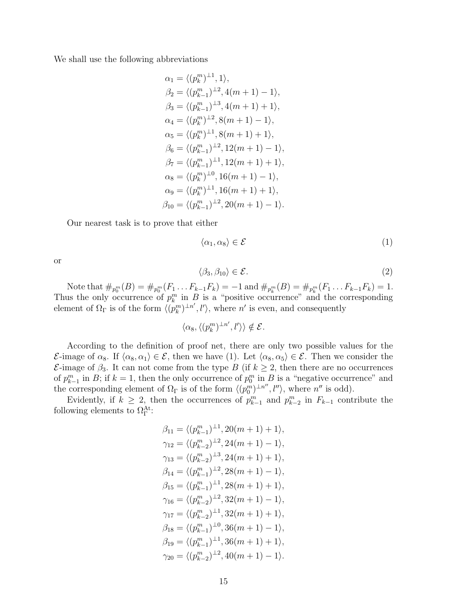We shall use the following abbreviations

$$
\alpha_1 = \langle (p_k^m)^{\perp 1}, 1 \rangle,
$$
  
\n
$$
\beta_2 = \langle (p_{k-1}^m)^{\perp 2}, 4(m+1) - 1 \rangle,
$$
  
\n
$$
\beta_3 = \langle (p_{k-1}^m)^{\perp 3}, 4(m+1) + 1 \rangle,
$$
  
\n
$$
\alpha_4 = \langle (p_k^m)^{\perp 2}, 8(m+1) - 1 \rangle,
$$
  
\n
$$
\alpha_5 = \langle (p_k^m)^{\perp 1}, 8(m+1) + 1 \rangle,
$$
  
\n
$$
\beta_6 = \langle (p_{k-1}^m)^{\perp 2}, 12(m+1) - 1 \rangle,
$$
  
\n
$$
\beta_7 = \langle (p_{k-1}^m)^{\perp 1}, 12(m+1) + 1 \rangle,
$$
  
\n
$$
\alpha_8 = \langle (p_k^m)^{\perp 0}, 16(m+1) - 1 \rangle,
$$
  
\n
$$
\alpha_9 = \langle (p_k^m)^{\perp 1}, 16(m+1) + 1 \rangle,
$$
  
\n
$$
\beta_{10} = \langle (p_{k-1}^m)^{\perp 2}, 20(m+1) - 1 \rangle.
$$

Our nearest task is to prove that either

$$
\langle \alpha_1, \alpha_8 \rangle \in \mathcal{E} \tag{1}
$$

or

$$
\langle \beta_3, \beta_{10} \rangle \in \mathcal{E}.\tag{2}
$$

Note that  $\#_{p_0^m}(B) = \#_{p_0^m}(F_1 \dots F_{k-1} F_k) = -1$  and  $\#_{p_k^m}(B) = \#_{p_k^m}(F_1 \dots F_{k-1} F_k) = 1$ . Thus the only occurrence of  $p_k^m$  in B is a "positive occurrence" and the corresponding element of  $\Omega_{\Gamma}$  is of the form  $\langle (p_k^m)^{\perp n'}, l' \rangle$ , where n' is even, and consequently

 $\langle \alpha_8, \langle (p_k^m)^{\perp n'}, l' \rangle \rangle \notin \mathcal{E}.$ 

According to the definition of proof net, there are only two possible values for the  $\mathcal{E}\text{-image of }\alpha_8$ . If  $\langle \alpha_8, \alpha_1 \rangle \in \mathcal{E}$ , then we have (1). Let  $\langle \alpha_8, \alpha_5 \rangle \in \mathcal{E}$ . Then we consider the  $\mathcal{E}$ -image of  $\beta_3$ . It can not come from the type B (if  $k \geq 2$ , then there are no occurrences of  $p_{k-1}^m$  in B; if  $k = 1$ , then the only occurrence of  $p_0^m$  in B is a "negative occurrence" and the corresponding element of  $\Omega_{\Gamma}$  is of the form  $\langle (p_0^m)^{\perp n''}, l'' \rangle$ , where  $n''$  is odd).

Evidently, if  $k \geq 2$ , then the occurrences of  $p_{k-1}^m$  and  $p_{k-2}^m$  in  $F_{k-1}$  contribute the following elements to  $\Omega_{\Gamma}^{\text{At}}$ :

$$
\beta_{11} = \langle (p_{k-1}^m)^{\perp 1}, 20(m+1) + 1 \rangle,
$$
  
\n
$$
\gamma_{12} = \langle (p_{k-2}^m)^{\perp 2}, 24(m+1) - 1 \rangle,
$$
  
\n
$$
\gamma_{13} = \langle (p_{k-2}^m)^{\perp 3}, 24(m+1) + 1 \rangle,
$$
  
\n
$$
\beta_{14} = \langle (p_{k-1}^m)^{\perp 2}, 28(m+1) - 1 \rangle,
$$
  
\n
$$
\beta_{15} = \langle (p_{k-1}^m)^{\perp 1}, 28(m+1) + 1 \rangle,
$$
  
\n
$$
\gamma_{16} = \langle (p_{k-2}^m)^{\perp 2}, 32(m+1) - 1 \rangle,
$$
  
\n
$$
\gamma_{17} = \langle (p_{k-2}^m)^{\perp 1}, 32(m+1) + 1 \rangle,
$$
  
\n
$$
\beta_{18} = \langle (p_{k-1}^m)^{\perp 0}, 36(m+1) - 1 \rangle,
$$
  
\n
$$
\beta_{19} = \langle (p_{k-1}^m)^{\perp 1}, 36(m+1) + 1 \rangle,
$$
  
\n
$$
\gamma_{20} = \langle (p_{k-2}^m)^{\perp 2}, 40(m+1) - 1 \rangle.
$$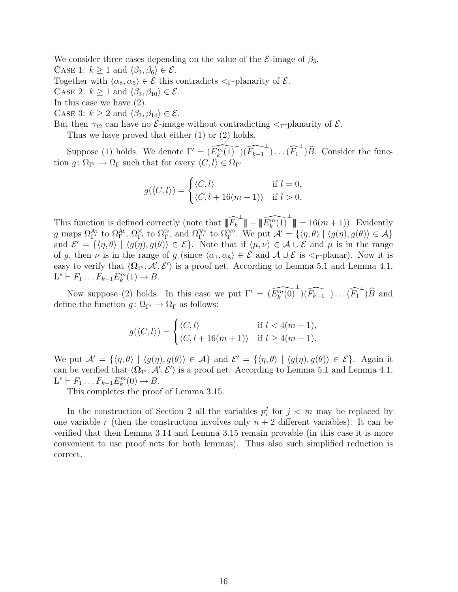We consider three cases depending on the value of the  $\mathcal{E}\text{-image}$  of  $\beta_3$ . CASE 1:  $k \ge 1$  and  $\langle \beta_3, \beta_6 \rangle \in \mathcal{E}$ . Together with  $\langle \alpha_8, \alpha_5 \rangle \in \mathcal{E}$  this contradicts  $\langle \varsigma \rangle$ -planarity of  $\mathcal{E}$ .

CASE 2:  $k \geq 1$  and  $\langle \beta_3, \beta_{10} \rangle \in \mathcal{E}$ .

In this case we have (2).

CASE 3:  $k \geq 2$  and  $\langle \beta_3, \beta_{14} \rangle \in \mathcal{E}$ .

But then  $\gamma_{12}$  can have no *E*-image without contradicting  $\leq_\Gamma$ -planarity of *E*.

Thus we have proved that either (1) or (2) holds.

Suppose (1) holds. We denote  $\Gamma' = (\widehat{E_k^m(1)}^{\perp})(\widehat{F_{k-1}}^{\perp}) \dots (\widehat{F_1}^{\perp})\widehat{B}$ . Consider the function  $g \colon \Omega_{\Gamma} \to \Omega_{\Gamma}$  such that for every  $\langle C, l \rangle \in \Omega_{\Gamma}$ 

$$
g(\langle C, l \rangle) = \begin{cases} \langle C, l \rangle & \text{if } l = 0, \\ \langle C, l + 16(m + 1) \rangle & \text{if } l > 0. \end{cases}
$$

This function is defined correctly (note that  $\|\widehat{F}_k^{\perp}\| - \|\widehat{E}_k^m(1)^{\perp}\| = 16(m+1)$ ). Evidently g maps  $\Omega_{\Gamma'}^{\text{At}}$  to  $\Omega_{\Gamma'}^{\otimes}$ , to  $\Omega_{\Gamma'}^{\otimes}$ , and  $\Omega_{\Gamma'}^{\otimes\dots}$  to  $\Omega_{\Gamma}^{\otimes\dots}$ . We put  $\mathcal{A}' = \{\langle \eta, \theta \rangle \mid \langle g(\eta), g(\theta) \rangle \in \mathcal{A}\}\$ and  $\mathcal{E}' = {\langle \eta, \theta \rangle \mid \langle g(\eta), g(\theta) \rangle \in \mathcal{E}}$ . Note that if  $\langle \mu, \nu \rangle \in \mathcal{A} \cup \mathcal{E}$  and  $\mu$  is in the range of g, then v is in the range of g (since  $\langle \alpha_1, \alpha_8 \rangle \in \mathcal{E}$  and  $\mathcal{A} \cup \mathcal{E}$  is  $\leq_\Gamma$ -planar). Now it is easy to verify that  $\langle \Omega_{\Gamma'}, \mathcal{A}', \mathcal{E}' \rangle$  is a proof net. According to Lemma 5.1 and Lemma 4.1,  $L^* \vdash F_1 \dots F_{k-1} E_k^m(1) \to B.$ 

Now suppose (2) holds. In this case we put  $\Gamma' = (\widehat{E_k^m(0)}^{\perp})(\widehat{F_{k-1}}^{\perp})\dots(\widehat{F_1}^{\perp})\widehat{B}$  and define the function  $q: \Omega_{\Gamma'} \to \Omega_{\Gamma}$  as follows:

$$
g(\langle C, l \rangle) = \begin{cases} \langle C, l \rangle & \text{if } l < 4(m+1), \\ \langle C, l + 16(m+1) \rangle & \text{if } l \ge 4(m+1). \end{cases}
$$

We put  $\mathcal{A}' = {\langle \eta, \theta \rangle | \langle g(\eta), g(\theta) \rangle \in \mathcal{A}}$  and  $\mathcal{E}' = {\langle \eta, \theta \rangle | \langle g(\eta), g(\theta) \rangle \in \mathcal{E}}$ . Again it can be verified that  $\langle \Omega_{\Gamma'}, \mathcal{A}', \mathcal{E}' \rangle$  is a proof net. According to Lemma 5.1 and Lemma 4.1,  $L^* \vdash F_1 \ldots F_{k-1} E_k^m(0) \to B.$ 

This completes the proof of Lemma 3.15.

In the construction of Section 2 all the variables  $p_i^j$  $i<sub>i</sub>$  for  $j < m$  may be replaced by one variable r (then the construction involves only  $n + 2$  different variables). It can be verified that then Lemma 3.14 and Lemma 3.15 remain provable (in this case it is more convenient to use proof nets for both lemmas). Thus also such simplified reduction is correct.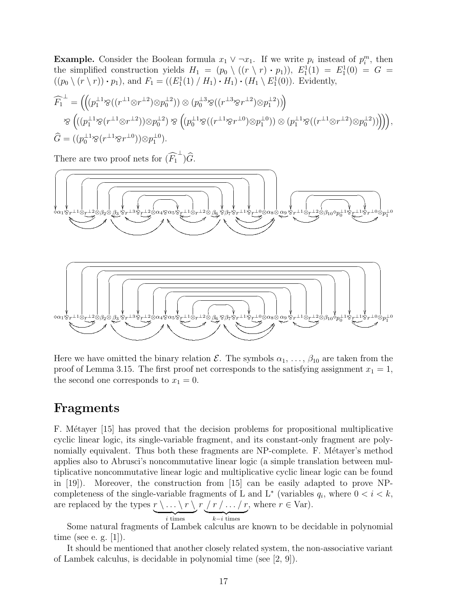**Example.** Consider the Boolean formula  $x_1 \vee \neg x_1$ . If we write  $p_i$  instead of  $p_i^m$ , then the simplified construction yields  $H_1 = (p_0 \setminus ((r \setminus r) \cdot p_1)), E_1^1(1) = E_1^1(0) = G$  $((p_0 \setminus (r \setminus r)) \cdot p_1)$ , and  $F_1 = ((E_1^1(1) / H_1) \cdot H_1) \cdot (H_1 \setminus E_1^1(0))$ . Evidently,

$$
\widehat{F_1}^{\perp} = \left( \left( (p_1^{\perp 1} \otimes ((r^{\perp 1} \otimes r^{\perp 2}) \otimes p_0^{\perp 2})) \otimes (p_0^{\perp 3} \otimes ((r^{\perp 3} \otimes r^{\perp 2}) \otimes p_1^{\perp 2})) \right) \n\otimes \left( ((p_1^{\perp 1} \otimes (r^{\perp 1} \otimes r^{\perp 2})) \otimes p_0^{\perp 2}) \otimes \left( (p_0^{\perp 1} \otimes ((r^{\perp 1} \otimes r^{\perp 0}) \otimes p_1^{\perp 0})) \otimes (p_1^{\perp 1} \otimes ((r^{\perp 1} \otimes r^{\perp 2}) \otimes p_0^{\perp 2})) \right) \right), \n\widehat{G} = ((p_0^{\perp 1} \otimes (r^{\perp 1} \otimes r^{\perp 0})) \otimes p_1^{\perp 0}).
$$

There are two proof nets for  $(\widehat{F_1}^{\perp})\widehat{G}$ .



Here we have omitted the binary relation  $\mathcal{E}$ . The symbols  $\alpha_1, \ldots, \beta_{10}$  are taken from the proof of Lemma 3.15. The first proof net corresponds to the satisfying assignment  $x_1 = 1$ , the second one corresponds to  $x_1 = 0$ .

## Fragments

F. Métayer [15] has proved that the decision problems for propositional multiplicative cyclic linear logic, its single-variable fragment, and its constant-only fragment are polynomially equivalent. Thus both these fragments are NP-complete. F. Métayer's method applies also to Abrusci's noncommutative linear logic (a simple translation between multiplicative noncommutative linear logic and multiplicative cyclic linear logic can be found in [19]). Moreover, the construction from [15] can be easily adapted to prove NPcompleteness of the single-variable fragments of L and L<sup>\*</sup> (variables  $q_i$ , where  $0 < i < k$ , are replaced by the types  $\underline{r} \setminus \ldots \setminus r \setminus r \setminus r$ , where  $r \in \text{Var}$ .

$$
k-i \text{ times}
$$

i times

Some natural fragments of Lambek calculus are known to be decidable in polynomial time (see e. g. [1]).

It should be mentioned that another closely related system, the non-associative variant of Lambek calculus, is decidable in polynomial time (see [2, 9]).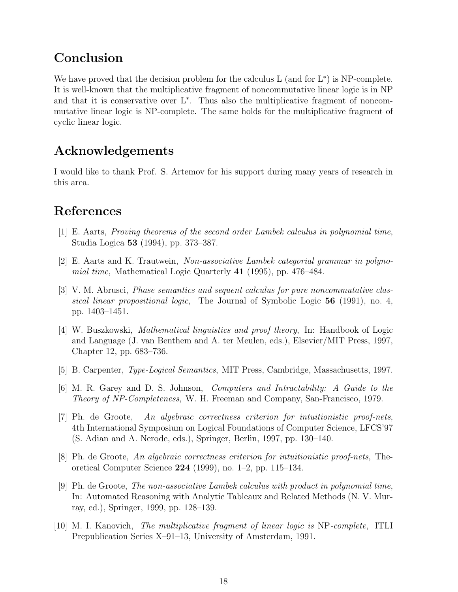## Conclusion

We have proved that the decision problem for the calculus  $L$  (and for  $L^*$ ) is NP-complete. It is well-known that the multiplicative fragment of noncommutative linear logic is in NP and that it is conservative over L<sup>∗</sup> . Thus also the multiplicative fragment of noncommutative linear logic is NP-complete. The same holds for the multiplicative fragment of cyclic linear logic.

## Acknowledgements

I would like to thank Prof. S. Artemov for his support during many years of research in this area.

## References

- [1] E. Aarts, Proving theorems of the second order Lambek calculus in polynomial time, Studia Logica 53 (1994), pp. 373–387.
- [2] E. Aarts and K. Trautwein, Non-associative Lambek categorial grammar in polynomial time, Mathematical Logic Quarterly  $41$  (1995), pp. 476–484.
- [3] V. M. Abrusci, Phase semantics and sequent calculus for pure noncommutative classical linear propositional logic, The Journal of Symbolic Logic 56 (1991), no. 4, pp. 1403–1451.
- [4] W. Buszkowski, Mathematical linguistics and proof theory, In: Handbook of Logic and Language (J. van Benthem and A. ter Meulen, eds.), Elsevier/MIT Press, 1997, Chapter 12, pp. 683–736.
- [5] B. Carpenter, Type-Logical Semantics, MIT Press, Cambridge, Massachusetts, 1997.
- [6] M. R. Garey and D. S. Johnson, Computers and Intractability: A Guide to the Theory of NP-Completeness, W. H. Freeman and Company, San-Francisco, 1979.
- [7] Ph. de Groote, An algebraic correctness criterion for intuitionistic proof-nets, 4th International Symposium on Logical Foundations of Computer Science, LFCS'97 (S. Adian and A. Nerode, eds.), Springer, Berlin, 1997, pp. 130–140.
- [8] Ph. de Groote, An algebraic correctness criterion for intuitionistic proof-nets, Theoretical Computer Science 224 (1999), no. 1–2, pp. 115–134.
- [9] Ph. de Groote, The non-associative Lambek calculus with product in polynomial time, In: Automated Reasoning with Analytic Tableaux and Related Methods (N. V. Murray, ed.), Springer, 1999, pp. 128–139.
- [10] M. I. Kanovich, The multiplicative fragment of linear logic is NP-complete, ITLI Prepublication Series X–91–13, University of Amsterdam, 1991.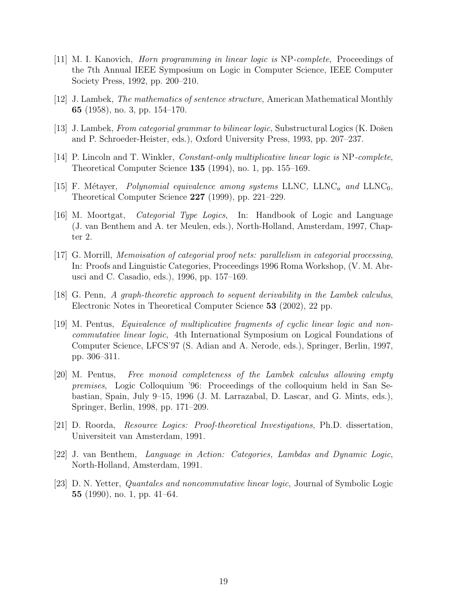- [11] M. I. Kanovich, Horn programming in linear logic is NP-complete, Proceedings of the 7th Annual IEEE Symposium on Logic in Computer Science, IEEE Computer Society Press, 1992, pp. 200–210.
- [12] J. Lambek, The mathematics of sentence structure, American Mathematical Monthly 65 (1958), no. 3, pp. 154–170.
- [13] J. Lambek, From categorial grammar to bilinear logic, Substructural Logics  $(K. D\tilde{o})$ and P. Schroeder-Heister, eds.), Oxford University Press, 1993, pp. 207–237.
- [14] P. Lincoln and T. Winkler, Constant-only multiplicative linear logic is NP-complete, Theoretical Computer Science 135 (1994), no. 1, pp. 155–169.
- [15] F. Métayer, *Polynomial equivalence among systems* LLNC, LLNC<sub>a</sub> and LLNC<sub>0</sub>, Theoretical Computer Science 227 (1999), pp. 221–229.
- [16] M. Moortgat, Categorial Type Logics, In: Handbook of Logic and Language (J. van Benthem and A. ter Meulen, eds.), North-Holland, Amsterdam, 1997, Chapter 2.
- [17] G. Morrill, Memoisation of categorial proof nets: parallelism in categorial processing, In: Proofs and Linguistic Categories, Proceedings 1996 Roma Workshop, (V. M. Abrusci and C. Casadio, eds.), 1996, pp. 157–169.
- [18] G. Penn, A graph-theoretic approach to sequent derivability in the Lambek calculus, Electronic Notes in Theoretical Computer Science 53 (2002), 22 pp.
- [19] M. Pentus, Equivalence of multiplicative fragments of cyclic linear logic and noncommutative linear logic, 4th International Symposium on Logical Foundations of Computer Science, LFCS'97 (S. Adian and A. Nerode, eds.), Springer, Berlin, 1997, pp. 306–311.
- [20] M. Pentus, Free monoid completeness of the Lambek calculus allowing empty premises, Logic Colloquium '96: Proceedings of the colloquium held in San Sebastian, Spain, July 9–15, 1996 (J. M. Larrazabal, D. Lascar, and G. Mints, eds.), Springer, Berlin, 1998, pp. 171–209.
- [21] D. Roorda, Resource Logics: Proof-theoretical Investigations, Ph.D. dissertation, Universiteit van Amsterdam, 1991.
- [22] J. van Benthem, Language in Action: Categories, Lambdas and Dynamic Logic, North-Holland, Amsterdam, 1991.
- [23] D. N. Yetter, Quantales and noncommutative linear logic, Journal of Symbolic Logic 55 (1990), no. 1, pp. 41–64.